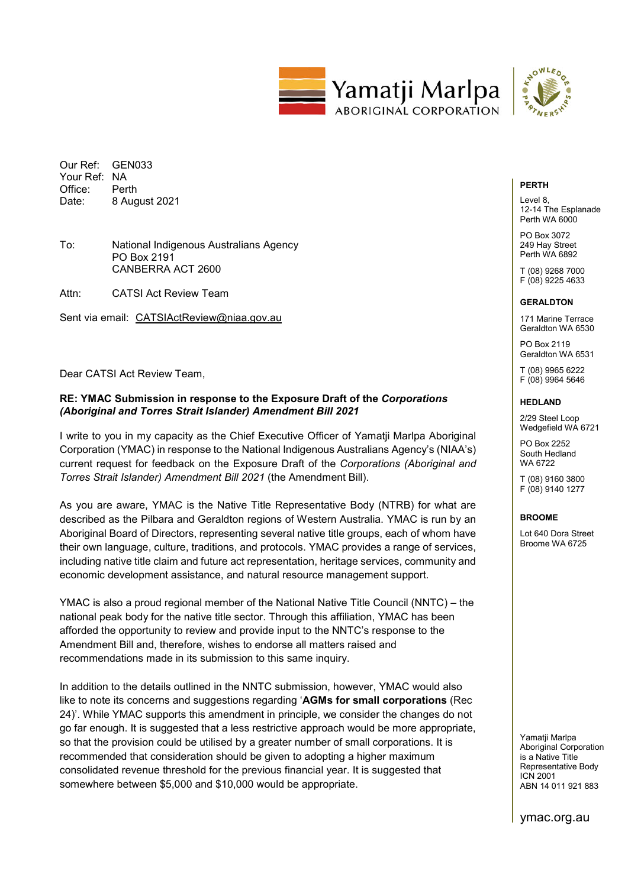

Our Ref: GEN033 Your Ref: NA Office: Perth<br>Date: 8 Aud 8 August 2021

# To: National Indigenous Australians Agency PO Box 2191 CANBERRA ACT 2600

Attn: CATSI Act Review Team

Sent via email: CATSIActReview@niaa.gov.au

Dear CATSI Act Review Team,

# **RE: YMAC Submission in response to the Exposure Draft of the** *Corporations (Aboriginal and Torres Strait Islander) Amendment Bill 2021*

I write to you in my capacity as the Chief Executive Officer of Yamatji Marlpa Aboriginal Corporation (YMAC) in response to the National Indigenous Australians Agency's (NIAA's) current request for feedback on the Exposure Draft of the *Corporations (Aboriginal and Torres Strait Islander) Amendment Bill 2021* (the Amendment Bill).

As you are aware, YMAC is the Native Title Representative Body (NTRB) for what are described as the Pilbara and Geraldton regions of Western Australia. YMAC is run by an Aboriginal Board of Directors, representing several native title groups, each of whom have their own language, culture, traditions, and protocols. YMAC provides a range of services, including native title claim and future act representation, heritage services, community and economic development assistance, and natural resource management support.

YMAC is also a proud regional member of the National Native Title Council (NNTC) – the national peak body for the native title sector. Through this affiliation, YMAC has been afforded the opportunity to review and provide input to the NNTC's response to the Amendment Bill and, therefore, wishes to endorse all matters raised and recommendations made in its submission to this same inquiry.

In addition to the details outlined in the NNTC submission, however, YMAC would also like to note its concerns and suggestions regarding '**AGMs for small corporations** (Rec 24)'. While YMAC supports this amendment in principle, we consider the changes do not go far enough. It is suggested that a less restrictive approach would be more appropriate, so that the provision could be utilised by a greater number of small corporations. It is recommended that consideration should be given to adopting a higher maximum consolidated revenue threshold for the previous financial year. It is suggested that somewhere between \$5,000 and \$10,000 would be appropriate.

# **PERTH**

Level 8, 12-14 The Esplanade Perth WA 6000

PO Box 3072 249 Hay Street Perth WA 6892

T (08) 9268 7000 F (08) 9225 4633

#### **GERALDTON**

171 Marine Terrace Geraldton WA 6530

PO Box 2119 Geraldton WA 6531

T (08) 9965 6222 F (08) 9964 5646

## **HEDLAND**

2/29 Steel Loop Wedgefield WA 6721

PO Box 2252 South Hedland **WA 6722** 

T (08) 9160 3800 F (08) 9140 1277

### **BROOME**

Lot 640 Dora Street Broome WA 6725

Yamatii Marlpa Aboriginal Corporation is a Native Title Representative Body ICN 2001 ABN 14 011 921 883

ymac.org.au